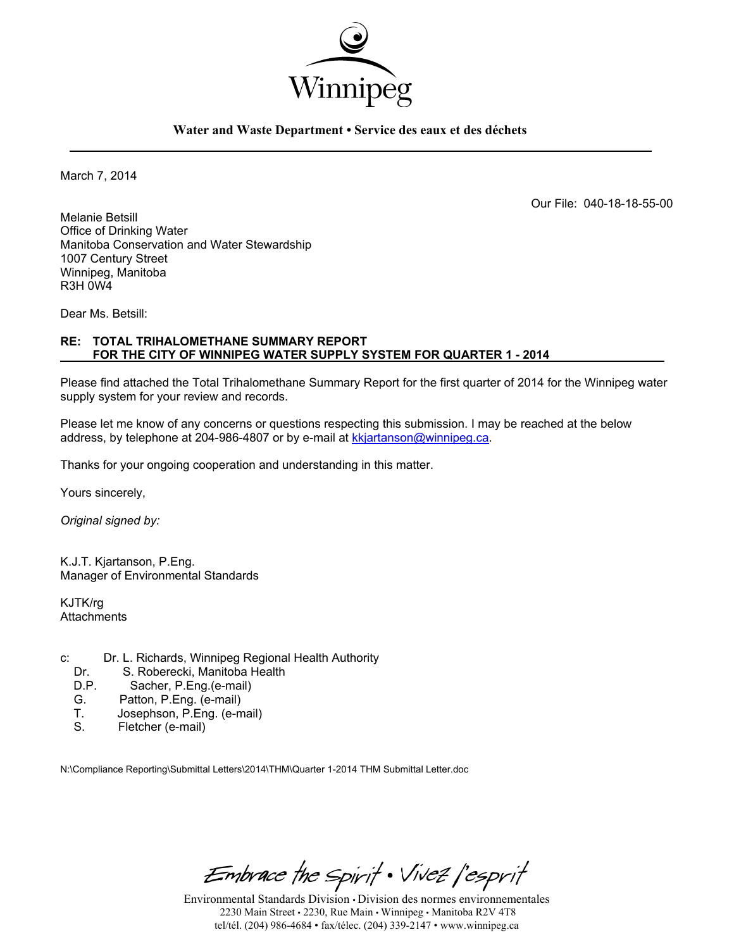

### **Water and Waste Department • Service des eaux et des déchets**

March 7, 2014

Our File: 040-18-18-55-00

Melanie Betsill Office of Drinking Water Manitoba Conservation and Water Stewardship 1007 Century Street Winnipeg, Manitoba R3H 0W4

Dear Ms. Betsill:

### **RE: TOTAL TRIHALOMETHANE SUMMARY REPORT FOR THE CITY OF WINNIPEG WATER SUPPLY SYSTEM FOR QUARTER 1 - 2014**

Please find attached the Total Trihalomethane Summary Report for the first quarter of 2014 for the Winnipeg water supply system for your review and records.

Please let me know of any concerns or questions respecting this submission. I may be reached at the below address, by telephone at 204-986-4807 or by e-mail at kkjartanson@winnipeg.ca.

Thanks for your ongoing cooperation and understanding in this matter.

Yours sincerely,

*Original signed by:* 

K.J.T. Kjartanson, P.Eng. Manager of Environmental Standards

KJTK/rg **Attachments** 

- c: Dr. L. Richards, Winnipeg Regional Health Authority
	- Dr. S. Roberecki, Manitoba Health<br>D.P. Sacher. P.Eng. (e-mail)
	- D.P. Sacher, P.Eng.(e-mail)<br>G. Patton. P.Eng. (e-mail)
	- G. Patton, P.Eng. (e-mail)<br>T. Josephson, P.Eng. (e-n
	- T. Josephson, P.Eng. (e-mail)<br>S. Fletcher (e-mail)
	- Fletcher (e-mail)

N:\Compliance Reporting\Submittal Letters\2014\THM\Quarter 1-2014 THM Submittal Letter.doc

Embrace the Spirit . Vivez l'esprit

Environmental Standards Division • Division des normes environnementales 2230 Main Street • 2230, Rue Main • Winnipeg • Manitoba R2V 4T8 tel/tél. (204) 986-4684 • fax/télec. (204) 339-2147 • www.winnipeg.ca